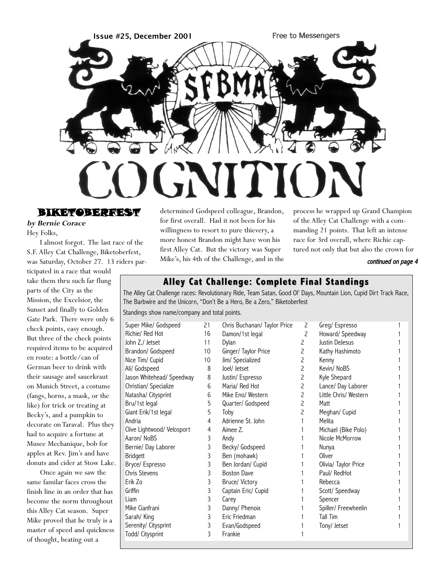

BIKET BERTE

**by Bernie Corace** Hey Folks,

I almost forgot. The last race of the S.F. Alley Cat Challenge, Biketoberfest, was Saturday, October 27. 13 riders par-

ticipated in a race that would take them thru such far flung parts of the City as the Mission, the Excelsior, the Sunset and finally to Golden Gate Park. There were only 6 check points, easy enough. But three of the check points required items to be acquired en route: a bottle/can of German beer to drink with their sausage and sauerkraut on Munich Street, a costume (fangs, horns, a mask, or the like) for trick or treating at Becky's, and a pumpkin to decorate on Taraval. Plus they had to acquire a fortune at Musee Mechanique, bob for apples at Rev. Jim's and have donuts and cider at Stow Lake.

Once again we saw the same familar faces cross the finish line in an order that has become the norm throughout this Alley Cat season. Super Mike proved that he truly is a master of speed and quickness of thought, beating out a

determined Godspeed colleague, Brandon, for first overall. Had it not been for his willingness to resort to pure thievery, a more honest Brandon might have won his first Alley Cat. But the victory was Super Mike's, his 4th of the Challenge, and in the process he wrapped up Grand Champion of the Alley Cat Challenge with a commanding 21 points. That left an intense race for 3rd overall, where Richie captured not only that but also the crown for

#### continued on page 4

## **Alley Cat Challenge: Complete Final Standings Alley Cat Challenge: Complete Final Standings**

The Alley Cat Challenge races: Revolutionary Ride, Team Satan, Good Ol' Days, Mountain Lion, Cupid Dirt Track Race, The Barbwire and the Unicorn, "Don't Be a Hero, Be a Zero," Biketoberfest

Standings show name/company and total points.

| Super Mike/ Godspeed       | 21 | Chris Buchanan/ Taylor Price | 2                        | Greg/Espresso         |  |
|----------------------------|----|------------------------------|--------------------------|-----------------------|--|
| Richie/ Red Hot            | 16 | Damon/1st legal              | $\overline{c}$           | Howard/ Speedway      |  |
| John Z./ Jetset            | 11 | Dylan                        | 2                        | Justin DeJesus        |  |
| Brandon/ Godspeed          | 10 | Ginger/ Taylor Price         | 2                        | Kathy Hashimoto       |  |
| Nice Tim/ Cupid            | 10 | Jim/ Specialized             | $\overline{c}$           | Kenny                 |  |
| Ali/ Godspeed              | 8  | Joel/ Jetset                 | $\overline{c}$           | Kevin/ NoBS           |  |
| Jason Whitehead/ Speedway  | 8  | Justin/ Espresso             | $\overline{c}$           | Kyle Shepard          |  |
| Christian/ Specialize      | 6  | Maria/ Red Hot               | $\overline{c}$           | Lance/ Day Laborer    |  |
| Natasha/ Citysprint        | 6  | Mike Eno/ Western            | $\overline{c}$           | Little Chris/ Western |  |
| Bru/1st legal              | 5  | Quarter/ Godspeed            | $\overline{c}$           | Matt                  |  |
| Giant Erik/1st legal       | 5  | Toby                         | $\overline{\phantom{0}}$ | Meghan/ Cupid         |  |
| Andria                     | 4  | Adrienne St. John            |                          | Melita                |  |
| Clive Lightwood/ Velosport | 4  | Aimee Z.                     |                          | Michael (Bike Polo)   |  |
| Aaron/ NoBS                | 3  | Andy                         |                          | Nicole McMorrow       |  |
| Bernie/ Day Laborer        | 3  | Becky/ Godspeed              |                          | Nunya                 |  |
| <b>Bridgett</b>            | 3  | Ben (mohawk)                 |                          | Oliver                |  |
| Bryce/ Espresso            | 3  | Ben Jordan/ Cupid            |                          | Olivia/ Taylor Price  |  |
| Chris Stevens              | 3  | <b>Boston Dave</b>           |                          | Paul/ RedHot          |  |
| Erik Zo                    | 3  | Bruce/ Victory               |                          | Rebecca               |  |
| Griffin                    | 3  | Captain Eric/ Cupid          |                          | Scott/ Speedway       |  |
| Liam                       | 3  | Carey                        |                          | Spencer               |  |
| Mike Cianfrani             | 3  | Danny/ Phenoix               |                          | Spiller/ Freewheelin  |  |
| Sarah/ King                | 3  | Eric Friedman                |                          | Tall Tim              |  |
| Serenity/ Citysprint       | 3  | Evan/Godspeed                |                          | Tony/ Jetset          |  |
| Todd/ Citysprint           | 3  | Frankie                      |                          |                       |  |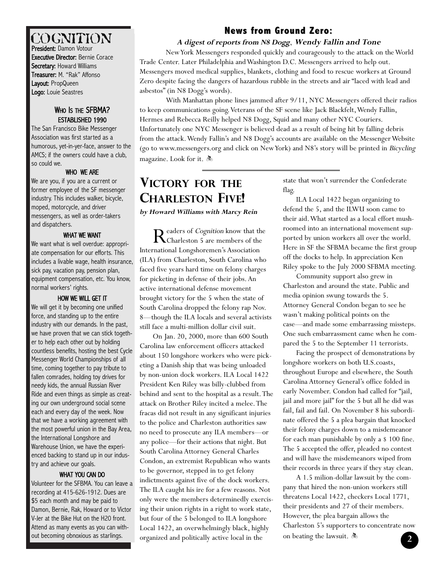# COGNITION

President: Damon Votour Executive Director: Bernie Corace Secretary: Howard Williams Treasurer: M. "Rak" Affonso Layout: PropQueen Logo: Louie Seastres

## WHO IS THE SFBMA? ESTABLISHED 1990

The San Francisco Bike Messenger Association was first started as a humorous, yet-in-yer-face, answer to the AMCS; if the owners could have a club, so could we.

## WHO WE ARE

We are you, if you are a current or former employee of the SF messenger industry. This includes walker, bicycle, moped, motorcycle, and driver messengers, as well as order-takers and dispatchers.

## WHAT WE WANT

We want what is well overdue: appropriate compensation for our efforts. This includes a livable wage, health insurance, sick pay, vacation pay, pension plan, equipment compensation, etc. You know, normal workers' rights.

### HOW WE WILL GET IT

We will get it by becoming one unified force, and standing up to the entire industry with our demands. In the past, we have proven that we can stick together to help each other out by holding countless benefits, hosting the best Cycle Messenger World Championships of all time, coming together to pay tribute to fallen comrades, holding toy drives for needy kids, the annual Russian River Ride and even things as simple as creating our own underground social scene each and every day of the week. Now that we have a working agreement with the most powerful union in the Bay Area, the International Longshore and Warehouse Union, we have the experienced backing to stand up in our industry and achieve our goals.

## WHAT YOU CAN DO

Volunteer for the SFBMA. You can leave a recording at 415-626-1912. Dues are \$5 each month and may be paid to Damon, Bernie, Rak, Howard or to Victor V-Jer at the Bike Hut on the H20 front. Attend as many events as you can without becoming obnoxious as starlings.

# **News from Ground Zero: News from Ground Zero:**

### **A digest of reports from N8 Dogg**, **Wendy Fallin and Tone**

New York Messengers responded quickly and courageously to the attack on the World Trade Center. Later Philadelphia and Washington D.C. Messengers arrived to help out. Messengers moved medical supplies, blankets, clothing and food to rescue workers at Ground Zero despite facing the dangers of hazardous rubble in the streets and air "laced with lead and asbestos" (in N8 Dogg's words).

With Manhattan phone lines jammed after 9/11, NYC Messengers offered their radios to keep communications going. Veterans of the SF scene like Jack Blackfelt, Wendy Fallin, Hermes and Rebecca Reilly helped N8 Dogg, Squid and many other NYC Couriers. Unfortunately one NYC Messenger is believed dead as a result of being hit by falling debris from the attack.Wendy Fallin's and N8 Dogg's accounts are available on the Messenger Website (go to www.messengers.org and click on New York) and N8's story will be printed in Bicycling magazine. Look for it.  $\clubsuit$ 

# **VICTORY FOR THE CHARLESTON FIVE!**

**by Howard Williams with Marcy Rein**

Readers of *Cognition* know that the<br>Charleston 5 are members of the International Longshoremen's Association (ILA) from Charleston, South Carolina who faced five years hard time on felony charges for picketing in defense of their jobs. An active international defense movement brought victory for the 5 when the state of South Carolina dropped the felony rap Nov. 8—though the ILA locals and several activists still face a multi-million dollar civil suit.

On Jan. 20, 2000, more than 600 South Carolina law enforcement officers attacked about 150 longshore workers who were picketing a Danish ship that was being unloaded by non-union dock workers. ILA Local 1422 President Ken Riley was billy-clubbed from behind and sent to the hospital as a result.The attack on Brother Riley incited a melee.The fracas did not result in any significant injuries to the police and Charleston authorities saw no need to prosecute any ILA members—or any police—for their actions that night. But South Carolina Attorney General Charles Condon, an extremist Republican who wants to be governor, stepped in to get felony indictments against five of the dock workers. The ILA caught his ire for a few reasons. Not only were the members determinedly exercising their union rights in a right to work state, but four of the 5 belonged to ILA longshore Local 1422, an overwhelmingly black, highly organized and politically active local in the

state that won't surrender the Confederate flag.

ILA Local 1422 began organizing to defend the 5, and the ILWU soon came to their aid.What started as a local effort mushroomed into an international movement supported by union workers all over the world. Here in SF the SFBMA became the first group off the docks to help. In appreciation Ken Riley spoke to the July 2000 SFBMA meeting.

Community support also grew in Charleston and around the state. Public and media opinion swung towards the 5. Attorney General Condon began to see he wasn't making political points on the case—and made some embarrassing missteps. One such embarrassment came when he compared the 5 to the September 11 terrorists.

Facing the prospect of demonstrations by longshore workers on both U.S.coasts, throughout Europe and elsewhere, the South Carolina Attorney General's office folded in early November. Condon had called for "jail, jail and more jail" for the 5 but all he did was fail, fail and fail. On November 8 his subordinate offered the 5 a plea bargain that knocked their felony charges down to a misdemeanor for each man punishable by only a \$ 100 fine. The 5 accepted the offer, pleaded no contest and will have the misdemeanors wiped from their records in three years if they stay clean.

A 1.5 milion-dollar lawsuit by the company that hired the non-union workers still threatens Local 1422, checkers Local 1771, their presidents and 27 of their members. However, the plea bargain allows the Charleston 5's supporters to concentrate now on beating the lawsuit.  $\clubsuit$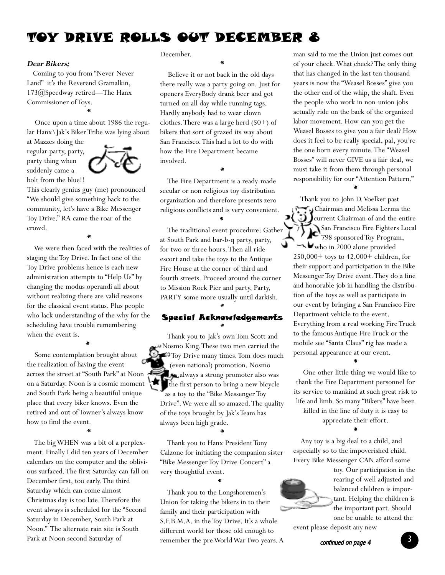# TOY DRIVE ROLLS OUT DECEMBER 8

#### **Dear Bikers;**

Coming to you from "Never Never Land" it's the Reverend Gramalkin, 173@Speedway retired—The Hanx Commissioner of Toys.

Once upon a time about 1986 the regular Hanx\Jak's Biker Tribe was lying about

\*

at Mazzes doing the regular party, party, party thing when suddenly came a bolt from the blue!!



This clearly genius guy (me) pronounced "We should give something back to the community, let's have a Bike Messenger Toy Drive." RA came the roar of the crowd.

\*

We were then faced with the realities of staging the Toy Drive. In fact one of the Toy Drive problems hence is each new administration attempts to "Help Us" by changing the modus operandi all about without realizing there are valid reasons for the classical event status. Plus people who lack understanding of the why for the scheduling have trouble remembering when the event is.

\* Some contemplation brought about the realization of having the event across the street at "South Park" at Noon on a Saturday. Noon is a cosmic moment and South Park being a beautiful unique place that every biker knows. Even the retired and out of Towner's always know how to find the event.

\* The big WHEN was a bit of a perplexment. Finally I did ten years of December calendars on the computer and the oblivious surfaced.The first Saturday can fall on December first, too early.The third Saturday which can come almost Christmas day is too late.Therefore the event always is scheduled for the "Second Saturday in December, South Park at Noon." The alternate rain site is South Park at Noon second Saturday of

#### December.

\* Believe it or not back in the old days there really was a party going on. Just for openers EveryBody drank beer and got turned on all day while running tags. Hardly anybody had to wear clown clothes.There was a large herd (50+) of bikers that sort of grazed its way about San Francisco.This had a lot to do with how the Fire Department became involved.

The Fire Department is a ready-made secular or non religious toy distribution organization and therefore presents zero religious conflicts and is very convenient. \*

\*

The traditional event procedure: Gather at South Park and bar-b-q party, party, for two or three hours.Then all ride escort and take the toys to the Antique Fire House at the corner of third and fourth streets. Proceed around the corner to Mission Rock Pier and party, Party, PARTY some more usually until darkish.

## \* Special Acknowledgements \*

Thank you to Jak's own Tom Scott and Nosmo King.These two men carried the Toy Drive many times. Tom does much (even national) promotion. Nosmo always a strong promoter also was the first person to bring a new bicycle as a toy to the "Bike Messenger Toy Drive".We were all so amazed.The quality of the toys brought by Jak's Team has always been high grade.

Thank you to Hanx President Tony Calzone for initiating the companion sister "Bike Messenger Toy Drive Concert" a very thoughtful event.

\*

Thank you to the Longshoremen's Union for taking the bikers in to their family and their participation with S.F.B.M.A. in the Toy Drive. It's a whole different world for those old enough to remember the pre World War Two years. A

\*

man said to me the Union just comes out of your check.What check? The only thing that has changed in the last ten thousand years is now the "Weasel Bosses" give you the other end of the whip, the shaft. Even the people who work in non-union jobs actually ride on the back of the organized labor movement. How can you get the Weasel Bosses to give you a fair deal? How does it feel to be really special, pal, you're the one born every minute.The "Weasel Bosses" will never GIVE us a fair deal, we must take it from them through personal responsibility for our "Attention Pattern."

\* Thank you to John D.Voelker past Chairman and Melissa Lerma the  $\bigcup$  J $c$ urrent Chairman of and the entire э{ San Francisco Fire Fighters Local  $7\sum_{798 \text{ sponsored Toy Program,}}$ who in 2000 alone provided 250,000+ toys to 42,000+ children, for their support and participation in the Bike Messenger Toy Drive event.They do a fine and honorable job in handling the distribution of the toys as well as participate in our event by bringing a San Francisco Fire Department vehicle to the event. Everything from a real working Fire Truck to the famous Antique Fire Truck or the mobile see "Santa Claus" rig has made a personal appearance at our event.

\* One other little thing we would like to thank the Fire Department personnel for its service to mankind at such great risk to life and limb. So many "Bikers" have been killed in the line of duty it is easy to appreciate their effort. \*

Any toy is a big deal to a child, and especially so to the impoverished child. Every Bike Messenger CAN afford some



toy. Our participation in the rearing of well adjusted and balanced children is important. Helping the children is the important part. Should one be unable to attend the

event please deposit any new

continued on page 4 **3**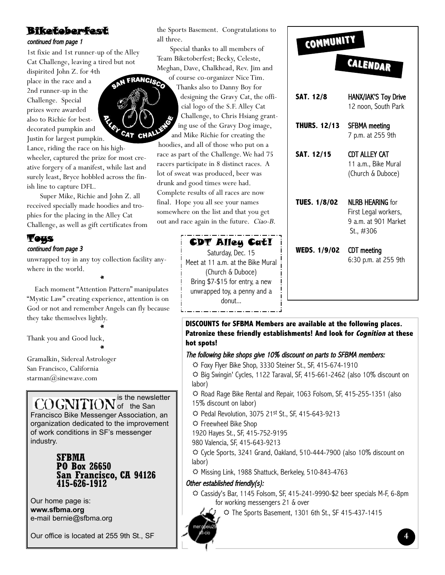# Biketoberfest

### continued from page 1

1st fixie and 1st runner-up of the Alley Cat Challenge, leaving a tired but not

dispirited John Z. for 4th place in the race and a 2nd runner-up in the Challenge. Special prizes were awarded also to Richie for bestdecorated pumpkin and Justin for largest pumpkin.

Lance, riding the race on his highwheeler, captured the prize for most creative forgery of a manifest, while last and surely least, Bryce hobbled across the finish line to capture DFL.

Super Mike, Richie and John Z. all received specially made hoodies and trophies for the placing in the Alley Cat Challenge, as well as gift certificates from

## Toys continued from page 3

unwrapped toy in any toy collection facility anywhere in the world.

\*

Each moment "Attention Pattern" manipulates "Mystic Law" creating experience, attention is on God or not and remember Angels can fly because they take themselves lightly.

\*

Thank you and Good luck,

\* Gramalkin, Sidereal Astrologer San Francisco, California starman $\mathcal{O}_s$ sinewave.com

### is the newsletter of the San Francisco Bike Messenger Association, an

organization dedicated to the improvement of work conditions in SF's messenger industry.

## **SFBMA PO Box 26650 San Francisco, CA 94126 415-626-1912**

Our home page is: **www.sfbma.org** e-mail bernie@sfbma.org

Our office is located at 255 9th St., SF

the Sports Basement. Congratulations to all three.

Special thanks to all members of Team Biketoberfest; Becky, Celeste, Meghan, Dave, Chalkhead, Rev. Jim and of course co-organizer Nice Tim. **FRANCISC** 

Thanks also to Danny Boy for designing the Gravy Cat, the official logo of the S.F. Alley Cat Challenge, to Chris Hsiang granting use of the Gravy Dog image, and Mike Richie for creating the

hoodies, and all of those who put on a race as part of the Challenge.We had 75 racers participate in 8 distinct races. A lot of sweat was produced, beer was drunk and good times were had. Complete results of all races are now final. Hope you all see your names somewhere on the list and that you get out and race again in the future. Ciao-B.

> CDT Alley Cat! Saturday, Dec. 15 Meet at 11 a.m. at the Bike Mural (Church & Duboce) Bring \$7-\$15 for entry, a new unwrapped toy, a penny and a donut...

# **COMMUNITY COMMUNITY**

# **CALENDAR**

| <b>SAT. 12/8</b>    | HANX/JAK'S Toy Drive<br>12 noon, South Park                                           |
|---------------------|---------------------------------------------------------------------------------------|
| <b>THURS. 12/13</b> | SFBMA meeting<br>7 p.m. at 255 9th                                                    |
| SAT. 12/15          | CDT ALLEY CAT<br>11 a.m., Bike Mural<br>(Church & Duboce)                             |
| <b>TUES. 1/8/02</b> | <b>NI RB HFARING</b> for<br>First Legal workers,<br>9 a.m. at 901 Market<br>St., #306 |
| WEDS. 1/9/02        | CDT meeting<br>6:30 p.m. at 255 9th                                                   |

**DISCOUNTS for SFBMA Members are available at the following places. Patronize these friendly establishments! And look for Cognition at these hot spots!** 

## The following bike shops give 10% discount on parts to SFBMA members:

5 Foxy Flyer Bike Shop, 3330 Steiner St., SF, 415-674-1910 5 Big Swingin' Cycles, 1122 Taraval, SF, 415-661-2462 (also 10% discount on labor)

5 Road Rage Bike Rental and Repair, 1063 Folsom, SF, 415-255-1351 (also 15% discount on labor)

5 Pedal Revolution, 3075 21st St., SF, 415-643-9213

5 Freewheel Bike Shop

1920 Hayes St., SF, 415-752-9195

980 Valencia, SF, 415-643-9213

5 Cycle Sports, 3241 Grand, Oakland, 510-444-7900 (also 10% discount on labor)

5 Missing Link, 1988 Shattuck, Berkeley, 510-843-4763

# Other established friendly(s):

mer:opeiu29 afl-cio

5 Cassidy's Bar, 1145 Folsom, SF, 415-241-9990-\$2 beer specials M-F, 6-8pm for working messengers 21 & over

5 The Sports Basement, 1301 6th St., SF 415-437-1415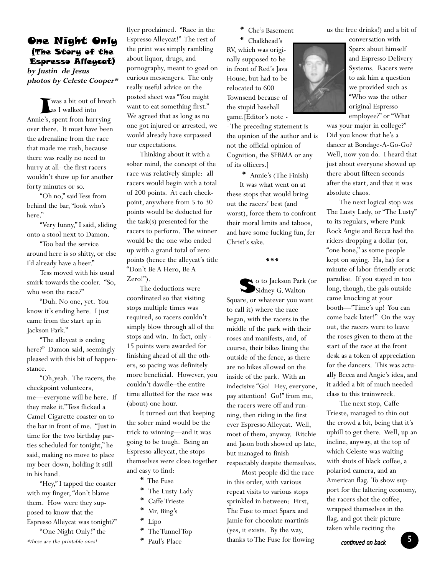# One Night Only (The Story of the Espresso Alleycat)

**by Justin de Jesus photos by Celeste Cooper\***

was a bit out of breath as I walked into Annie's, spent from hurrying over there. It must have been the adrenaline from the race that made me rush, because there was really no need to hurry at all--the first racers wouldn't show up for another forty minutes or so.

"Oh no," said Tess from behind the bar, "look who's here."

"Very funny," I said, sliding onto a stool next to Damon.

"Too bad the service around here is so shitty, or else I'd already have a beer."

Tess moved with his usual smirk towards the cooler. "So, who won the race?"

"Duh. No one, yet. You know it's ending here. I just came from the start up in Jackson Park."

"The alleycat is ending here?" Damon said, seemingly pleased with this bit of happenstance.

"Oh,yeah. The racers, the checkpoint volunteers, me—everyone will be here. If they make it."Tess flicked a Camel Cigarette coaster on to the bar in front of me. "Just in time for the two birthday parties scheduled for tonight," he said, making no move to place my beer down, holding it still in his hand.

"Hey," I tapped the coaster with my finger, "don't blame them. How were they supposed to know that the Espresso Alleycat was tonight?" "One Night Only!" the

flyer proclaimed. "Race in the Espresso Alleycat!" The rest of the print was simply rambling about liquor, drugs, and pornography, meant to goad on curious messengers. The only really useful advice on the posted sheet was "You might want to eat something first." We agreed that as long as no one got injured or arrested, we would already have surpassed our expectations.

Thinking about it with a sober mind, the concept of the race was relatively simple: all racers would begin with a total of 200 points. At each checkpoint, anywhere from 5 to 30 points would be deducted for the task(s) presented for the racers to perform. The winner would be the one who ended up with a grand total of zero points (hence the alleycat's title "Don't Be A Hero, Be A Zero!").

The deductions were coordinated so that visiting stops multiple times was required, so racers couldn't simply blow through all of the stops and win. In fact, only - 15 points were awarded for finishing ahead of all the others, so pacing was definitely more beneficial. However, you couldn't dawdle–the entire time allotted for the race was (about) one hour.

It turned out that keeping the sober mind would be the trick to winning—and it was going to be tough. Being an Espresso alleycat, the stops themselves were close together and easy to find:

- \* The Fuse
- \* The Lusty Lady
- \* Caffe Trieste
- \* Mr. Bing's
- \* Lipo
- The Tunnel Top
- \* Paul's Place

\* Che's Basement

\* Chalkhead's RV, which was originally supposed to be in front of Red's Java House, but had to be relocated to 600 Townsend because of the stupid baseball game.[Editor's note -

- The preceding statement is the opinion of the author and is not the official opinion of Cognition, the SFBMA or any of its officers.]

\* Annie's (The Finish) It was what went on at these stops that would bring out the racers' best (and worst), force them to confront their moral limits and taboos, and have some fucking fun, fer Christ's sake.

\*\*\*

So to Jackson Park (or Sidney G.Walton Square, or whatever you want to call it) where the race began, with the racers in the middle of the park with their roses and manifests, and, of course, their bikes lining the outside of the fence, as there are no bikes allowed on the inside of the park. With an indecisive "Go! Hey, everyone, pay attention! Go!" from me, the racers were off and running, then riding in the first ever Espresso Alleycat. Well, most of them, anyway. Ritchie and Jason both showed up late, but managed to finish

respectably despite themselves. Most people did the race

in this order, with various repeat visits to various stops sprinkled in between: First, The Fuse to meet Sparx and Jamie for chocolate martinis (yes, it exists. By the way, \*these are the printable ones! **\*** Paul's Place **thanks** to The Fuse for flowing **continued on back 5** 

us the free drinks!) and a bit of

conversation with Sparx about himself and Espresso Delivery Systems. Racers were to ask him a question we provided such as "Who was the other original Espresso employee?" or "What

was your major in college?" Did you know that he's a dancer at Bondage-A-Go-Go? Well, now you do. I heard that just about everyone showed up there about fifteen seconds after the start, and that it was absolute chaos.

The next logical stop was The Lusty Lady, or "The Lusty" to its regulars, where Punk Rock Angie and Becca had the riders dropping a dollar (or, "one bone," as some people kept on saying. Ha, ha) for a minute of labor-friendly erotic paradise. If you stayed in too long, though, the gals outside came knocking at your booth—"Time's up! You can come back later!" On the way out, the racers were to leave the roses given to them at the start of the race at the front desk as a token of appreciation for the dancers. This was actually Becca and Angie's idea, and it added a bit of much needed class to this trainwreck.

The next stop, Caffe Trieste, managed to thin out the crowd a bit, being that it's uphill to get there. Well, up an incline, anyway, at the top of which Celeste was waiting with shots of black coffee, a polariod camera, and an American flag. To show support for the faltering economy, the racers shot the coffee, wrapped themselves in the flag, and got their picture taken while reciting the